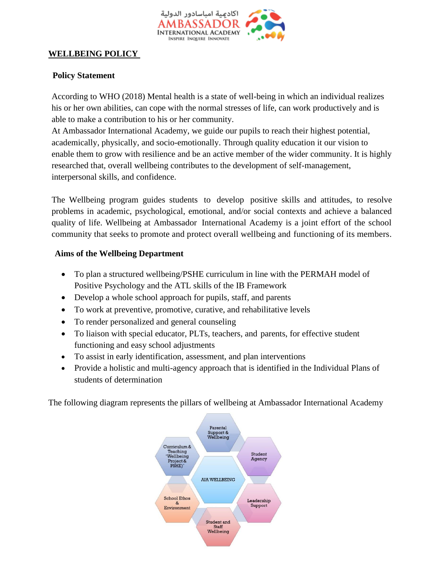

#### **WELLBEING POLICY**

#### **Policy Statement**

According to WHO (2018) Mental health is a state of well-being in which an individual realizes his or her own abilities, can cope with the normal stresses of life, can work productively and is able to make a contribution to his or her community.

At Ambassador International Academy, we guide our pupils to reach their highest potential, academically, physically, and socio-emotionally. Through quality education it our vision to enable them to grow with resilience and be an active member of the wider community. It is highly researched that, overall wellbeing contributes to the development of self-management, interpersonal skills, and confidence.

The Wellbeing program guides students to develop positive skills and attitudes, to resolve problems in academic, psychological, emotional, and/or social contexts and achieve a balanced quality of life. Wellbeing at Ambassador International Academy is a joint effort of the school community that seeks to promote and protect overall wellbeing and functioning of its members.

#### **Aims of the Wellbeing Department**

- To plan a structured wellbeing/PSHE curriculum in line with the PERMAH model of Positive Psychology and the ATL skills of the IB Framework
- Develop a whole school approach for pupils, staff, and parents
- To work at preventive, promotive, curative, and rehabilitative levels
- To render personalized and general counseling
- To liaison with special educator, PLTs, teachers, and parents, for effective student functioning and easy school adjustments
- To assist in early identification, assessment, and plan interventions
- Provide a holistic and multi-agency approach that is identified in the Individual Plans of students of determination

The following diagram represents the pillars of wellbeing at Ambassador International Academy

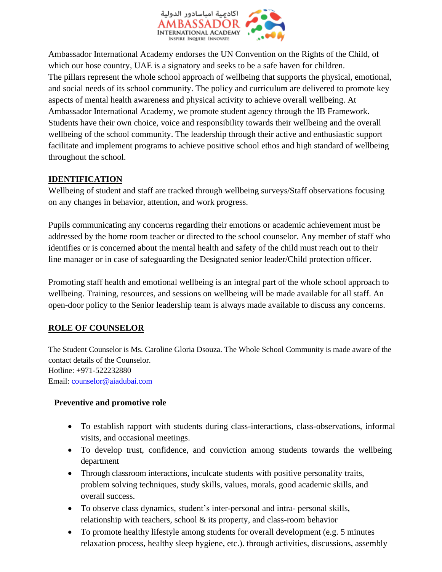

Ambassador International Academy endorses the UN Convention on the Rights of the Child, of which our hose country, UAE is a signatory and seeks to be a safe haven for children. The pillars represent the whole school approach of wellbeing that supports the physical, emotional, and social needs of its school community. The policy and curriculum are delivered to promote key aspects of mental health awareness and physical activity to achieve overall wellbeing. At Ambassador International Academy, we promote student agency through the IB Framework. Students have their own choice, voice and responsibility towards their wellbeing and the overall wellbeing of the school community. The leadership through their active and enthusiastic support facilitate and implement programs to achieve positive school ethos and high standard of wellbeing throughout the school.

## **IDENTIFICATION**

Wellbeing of student and staff are tracked through wellbeing surveys/Staff observations focusing on any changes in behavior, attention, and work progress.

Pupils communicating any concerns regarding their emotions or academic achievement must be addressed by the home room teacher or directed to the school counselor. Any member of staff who identifies or is concerned about the mental health and safety of the child must reach out to their line manager or in case of safeguarding the Designated senior leader/Child protection officer.

Promoting staff health and emotional wellbeing is an integral part of the whole school approach to wellbeing. Training, resources, and sessions on wellbeing will be made available for all staff. An open-door policy to the Senior leadership team is always made available to discuss any concerns.

## **ROLE OF COUNSELOR**

The Student Counselor is Ms. Caroline Gloria Dsouza. The Whole School Community is made aware of the contact details of the Counselor. Hotline: +971-522232880 Email: [counselor@aiadubai.com](mailto:counselor@aiadubai.com)

### **Preventive and promotive role**

- To establish rapport with students during class-interactions, class-observations, informal visits, and occasional meetings.
- To develop trust, confidence, and conviction among students towards the wellbeing department
- Through classroom interactions, inculcate students with positive personality traits, problem solving techniques, study skills, values, morals, good academic skills, and overall success.
- To observe class dynamics, student's inter-personal and intra- personal skills, relationship with teachers, school & its property, and class-room behavior
- To promote healthy lifestyle among students for overall development (e.g. 5 minutes relaxation process, healthy sleep hygiene, etc.). through activities, discussions, assembly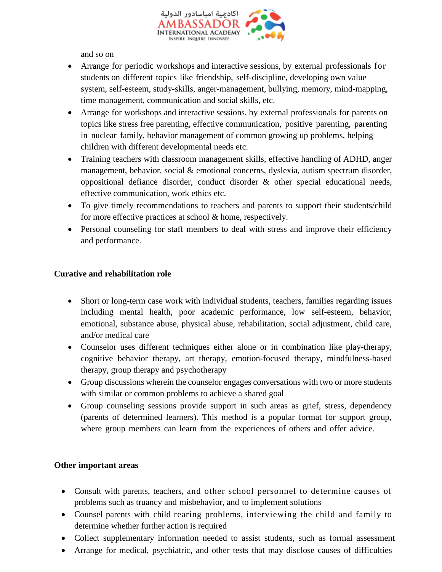

and so on

- Arrange for periodic workshops and interactive sessions, by external professionals for students on different topics like friendship, self-discipline, developing own value system, self-esteem, study-skills, anger-management, bullying, memory, mind-mapping, time management, communication and social skills, etc.
- Arrange for workshops and interactive sessions, by external professionals for parents on topics like stress free parenting, effective communication, positive parenting, parenting in nuclear family, behavior management of common growing up problems, helping children with different developmental needs etc.
- Training teachers with classroom management skills, effective handling of ADHD, anger management, behavior, social & emotional concerns, dyslexia, autism spectrum disorder, oppositional defiance disorder, conduct disorder & other special educational needs, effective communication, work ethics etc.
- To give timely recommendations to teachers and parents to support their students/child for more effective practices at school & home, respectively.
- Personal counseling for staff members to deal with stress and improve their efficiency and performance.

### **Curative and rehabilitation role**

- Short or long-term case work with individual students, teachers, families regarding issues including mental health, poor academic performance, low self-esteem, behavior, emotional, substance abuse, physical abuse, rehabilitation, social adjustment, child care, and/or medical care
- Counselor uses different techniques either alone or in combination like play-therapy, cognitive behavior therapy, art therapy, emotion-focused therapy, mindfulness-based therapy, group therapy and psychotherapy
- Group discussions wherein the counselor engages conversations with two or more students with similar or common problems to achieve a shared goal
- Group counseling sessions provide support in such areas as grief, stress, dependency (parents of determined learners). This method is a popular format for support group, where group members can learn from the experiences of others and offer advice.

#### **Other important areas**

- Consult with parents, teachers, and other school personnel to determine causes of problems such as truancy and misbehavior, and to implement solutions
- Counsel parents with child rearing problems, interviewing the child and family to determine whether further action is required
- Collect supplementary information needed to assist students, such as formal assessment
- Arrange for medical, psychiatric, and other tests that may disclose causes of difficulties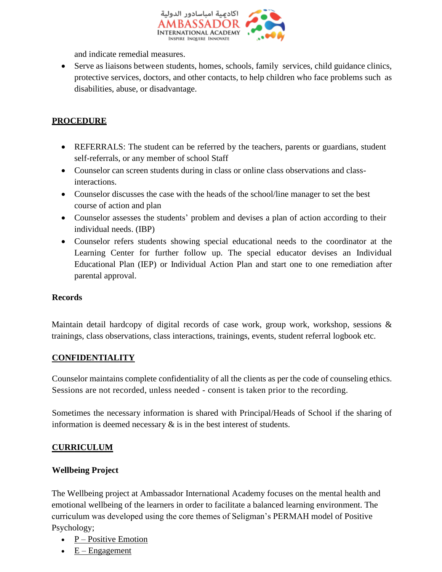

and indicate remedial measures.

• Serve as liaisons between students, homes, schools, family services, child guidance clinics, protective services, doctors, and other contacts, to help children who face problems such as disabilities, abuse, or disadvantage.

## **PROCEDURE**

- REFERRALS: The student can be referred by the teachers, parents or guardians, student self-referrals, or any member of school Staff
- Counselor can screen students during in class or online class observations and classinteractions.
- Counselor discusses the case with the heads of the school/line manager to set the best course of action and plan
- Counselor assesses the students' problem and devises a plan of action according to their individual needs. (IBP)
- Counselor refers students showing special educational needs to the coordinator at the Learning Center for further follow up. The special educator devises an Individual Educational Plan (IEP) or Individual Action Plan and start one to one remediation after parental approval.

### **Records**

Maintain detail hardcopy of digital records of case work, group work, workshop, sessions & trainings, class observations, class interactions, trainings, events, student referral logbook etc.

### **CONFIDENTIALITY**

Counselor maintains complete confidentiality of all the clients as per the code of counseling ethics. Sessions are not recorded, unless needed - consent is taken prior to the recording.

Sometimes the necessary information is shared with Principal/Heads of School if the sharing of information is deemed necessary  $\&$  is in the best interest of students.

### **CURRICULUM**

### **Wellbeing Project**

The Wellbeing project at Ambassador International Academy focuses on the mental health and emotional wellbeing of the learners in order to facilitate a balanced learning environment. The curriculum was developed using the core themes of Seligman's PERMAH model of Positive Psychology;

- $P Positive E motion$
- $E -$  [Engagement](https://positivepsychology.com/perma-model/#engagement)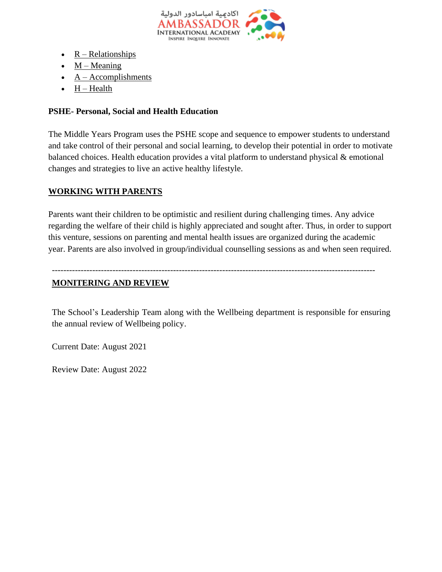

- $R Relationships$  $R Relationships$
- $\bullet$  M [Meaning](https://positivepsychology.com/perma-model/#meaning)
- $\bullet$  A [Accomplishments](https://positivepsychology.com/perma-model/#accomplishments)
- $\bullet$  H Health

## **PSHE- Personal, Social and Health Education**

The Middle Years Program uses the PSHE scope and sequence to empower students to understand and take control of their personal and social learning, to develop their potential in order to motivate balanced choices. Health education provides a vital platform to understand physical & emotional changes and strategies to live an active healthy lifestyle.

## **WORKING WITH PARENTS**

Parents want their children to be optimistic and resilient during challenging times. Any advice regarding the welfare of their child is highly appreciated and sought after. Thus, in order to support this venture, sessions on parenting and mental health issues are organized during the academic year. Parents are also involved in group/individual counselling sessions as and when seen required.

## ----------------------------------------------------------------------------------------------------------------

### **MONITERING AND REVIEW**

The School's Leadership Team along with the Wellbeing department is responsible for ensuring the annual review of Wellbeing policy.

Current Date: August 2021

Review Date: August 2022